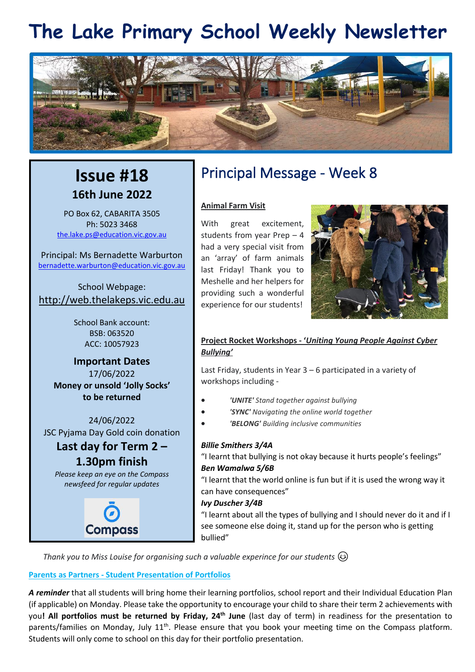# **The Lake Primary School Weekly Newsletter**



## **Issue #18 16th June 2022**

PO Box 62, CABARITA 3505 Ph: 5023 3468 [the.lake.ps@education.vic.gov.au](mailto:the.lake.ps@education.vic.gov.au)

Principal: Ms Bernadette Warburton [bernadette.warburton@education.vic.gov.au](mailto:bernadette.warburton@education.vic.gov.au)

School Webpage: [http://web.thelakeps.vic.edu.au](http://web.thelakeps.vic.edu.au/)

> School Bank account: BSB: 063520 ACC: 10057923

**Important Dates** 17/06/2022 **Money or unsold 'Jolly Socks' to be returned**

24/06/2022 JSC Pyjama Day Gold coin donation

### **Last day for Term 2 –**

**1.30pm finish**

*Please keep an eye on the Compass newsfeed for regular updates*



## Principal Message - Week 8

#### **Animal Farm Visit**

With great excitement, students from year Prep – 4 had a very special visit from an 'array' of farm animals last Friday! Thank you to Meshelle and her helpers for providing such a wonderful experience for our students!



#### **Project Rocket Workshops - '***Uniting Young People Against Cyber Bullying'*

Last Friday, students in Year 3 – 6 participated in a variety of workshops including -

- *'UNITE' Stand together against bullying*
- *'SYNC' Navigating the online world together*
- *'BELONG' Building inclusive communities*

#### *Billie Smithers 3/4A*

"I learnt that bullying is not okay because it hurts people's feelings" *Ben Wamalwa 5/6B*

"I learnt that the world online is fun but if it is used the wrong way it can have consequences"

#### *Ivy Duscher 3/4B*

"I learnt about all the types of bullying and I should never do it and if I see someone else doing it, stand up for the person who is getting bullied"

*Thank you to Miss Louise for organising such a valuable experince for our students* 

#### **Parents as Partners - Student Presentation of Portfolios**

*A reminder* that all students will bring home their learning portfolios, school report and their Individual Education Plan (if applicable) on Monday. Please take the opportunity to encourage your child to share their term 2 achievements with you**! All portfolios must be returned by Friday, 24th June** (last day of term) in readiness for the presentation to parents/families on Monday, July 11<sup>th</sup>. Please ensure that you book your meeting time on the Compass platform. Students will only come to school on this day for their portfolio presentation.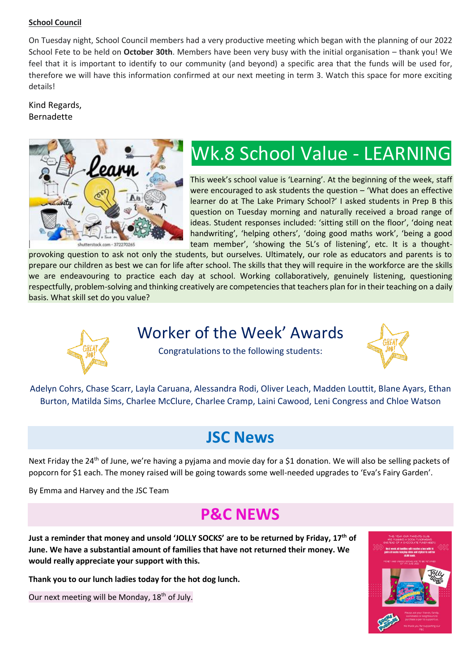#### **School Council**

On Tuesday night, School Council members had a very productive meeting which began with the planning of our 2022 School Fete to be held on **October 30th**. Members have been very busy with the initial organisation – thank you! We feel that it is important to identify to our community (and beyond) a specific area that the funds will be used for, therefore we will have this information confirmed at our next meeting in term 3. Watch this space for more exciting details!

#### Kind Regards, Bernadette



# Wk.8 School Value - LEARNING

This week's school value is 'Learning'. At the beginning of the week, staff were encouraged to ask students the question – 'What does an effective learner do at The Lake Primary School?' I asked students in Prep B this question on Tuesday morning and naturally received a broad range of ideas. Student responses included: 'sitting still on the floor', 'doing neat handwriting', 'helping others', 'doing good maths work', 'being a good team member', 'showing the 5L's of listening', etc. It is a thought-

provoking question to ask not only the students, but ourselves. Ultimately, our role as educators and parents is to prepare our children as best we can for life after school. The skills that they will require in the workforce are the skills we are endeavouring to practice each day at school. Working collaboratively, genuinely listening, questioning respectfully, problem-solving and thinking creatively are competencies that teachers plan for in their teaching on a daily basis. What skill set do you value?



### Worker of the Week' Awards



Congratulations to the following students:

Adelyn Cohrs, Chase Scarr, Layla Caruana, Alessandra Rodi, Oliver Leach, Madden Louttit, Blane Ayars, Ethan Burton, Matilda Sims, Charlee McClure, Charlee Cramp, Laini Cawood, Leni Congress and Chloe Watson

## **JSC News**

Next Friday the 24<sup>th</sup> of June, we're having a pyjama and movie day for a \$1 donation. We will also be selling packets of popcorn for \$1 each. The money raised will be going towards some well-needed upgrades to 'Eva's Fairy Garden'.

By Emma and Harvey and the JSC Team

## **P&C NEWS**

**Just a reminder that money and unsold 'JOLLY SOCKS' are to be returned by Friday, 17th of June. We have a substantial amount of families that have not returned their money. We would really appreciate your support with this.**

**Thank you to our lunch ladies today for the hot dog lunch.**

Our next meeting will be Monday, 18<sup>th</sup> of July.